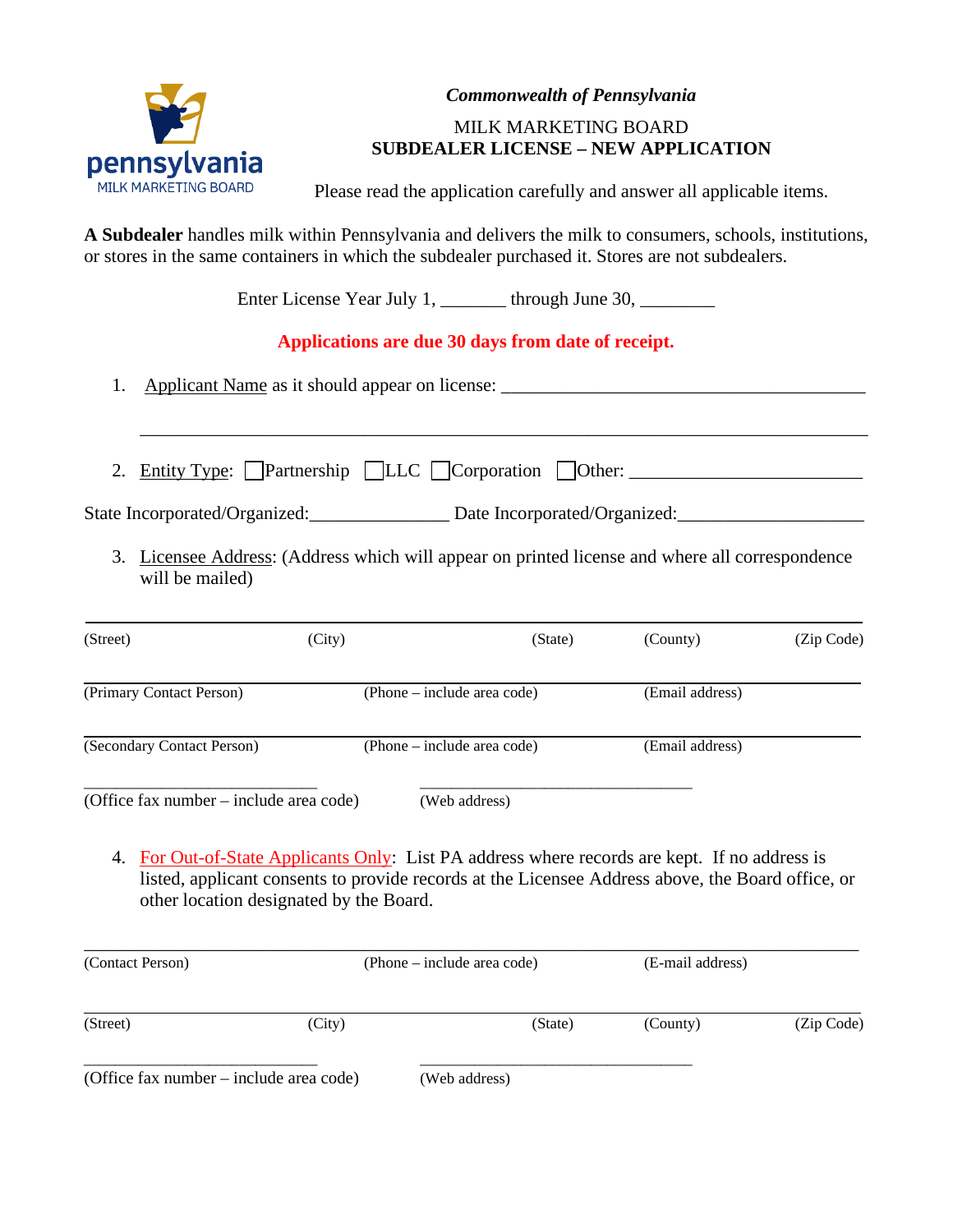

### *Commonwealth of Pennsylvania*

# MILK MARKETING BOARD **SUBDEALER LICENSE – NEW APPLICATION**

Please read the application carefully and answer all applicable items.

**A Subdealer** handles milk within Pennsylvania and delivers the milk to consumers, schools, institutions, or stores in the same containers in which the subdealer purchased it. Stores are not subdealers.

Enter License Year July 1, \_\_\_\_\_\_\_ through June 30, \_\_\_\_\_\_\_\_

# **Applications are due 30 days from date of receipt.**

- 1. Applicant Name as it should appear on license: \_\_\_\_\_\_\_\_\_\_\_\_\_\_\_\_\_\_\_\_\_\_\_\_\_\_\_\_\_\_\_
- 2. Entity Type: Partnership LLC Corporation Other: \_\_\_\_\_\_\_\_\_\_\_\_\_\_\_\_\_\_\_\_\_\_\_\_\_\_\_\_\_

\_\_\_\_\_\_\_\_\_\_\_\_\_\_\_\_\_\_\_\_\_\_\_\_\_\_\_\_\_\_\_\_\_\_\_\_\_\_\_\_\_\_\_\_\_\_\_\_\_\_\_\_\_\_\_\_\_\_\_\_\_\_\_\_\_\_\_\_\_\_\_\_\_\_\_\_\_\_

State Incorporated/Organized: Date Incorporated/Organized:

3. Licensee Address: (Address which will appear on printed license and where all correspondence will be mailed)

| (Street)                                | (City) | (State)                     | (County)        | (Zip Code) |
|-----------------------------------------|--------|-----------------------------|-----------------|------------|
| (Primary Contact Person)                |        | (Phone – include area code) | (Email address) |            |
| (Secondary Contact Person)              |        | (Phone – include area code) | (Email address) |            |
| (Office fax number – include area code) |        | (Web address)               |                 |            |

4. For Out-of-State Applicants Only: List PA address where records are kept. If no address is listed, applicant consents to provide records at the Licensee Address above, the Board office, or other location designated by the Board.

| (Contact Person)                        | (Phone – include area code) |               | (E-mail address) |            |
|-----------------------------------------|-----------------------------|---------------|------------------|------------|
| (Street)                                | (City)                      | (State)       | (County)         | (Zip Code) |
| (Office fax number – include area code) |                             | (Web address) |                  |            |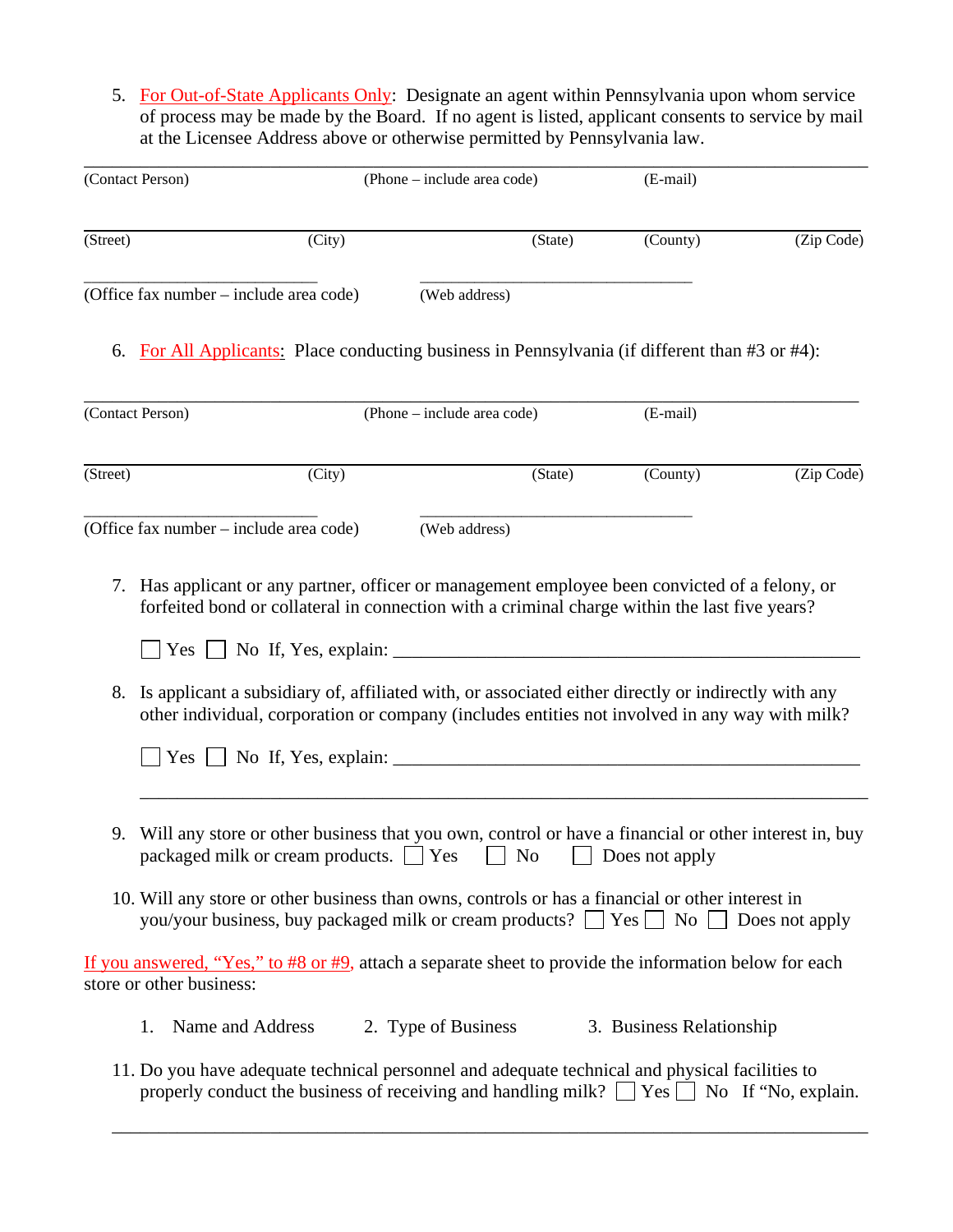5. For Out-of-State Applicants Only: Designate an agent within Pennsylvania upon whom service of process may be made by the Board. If no agent is listed, applicant consents to service by mail at the Licensee Address above or otherwise permitted by Pennsylvania law.

|          | (Contact Person)                                                                                                                                                                                                                                                                                                                                                               |        | (Phone – include area code) |         | (E-mail)                 |            |
|----------|--------------------------------------------------------------------------------------------------------------------------------------------------------------------------------------------------------------------------------------------------------------------------------------------------------------------------------------------------------------------------------|--------|-----------------------------|---------|--------------------------|------------|
| (Street) |                                                                                                                                                                                                                                                                                                                                                                                | (City) |                             | (State) | (County)                 | (Zip Code) |
|          | (Office fax number – include area code)                                                                                                                                                                                                                                                                                                                                        |        | (Web address)               |         |                          |            |
|          | 6. For All Applicants: Place conducting business in Pennsylvania (if different than #3 or #4):                                                                                                                                                                                                                                                                                 |        |                             |         |                          |            |
|          | (Contact Person)                                                                                                                                                                                                                                                                                                                                                               |        | (Phone – include area code) |         | (E-mail)                 |            |
| (Street) |                                                                                                                                                                                                                                                                                                                                                                                | (City) |                             | (State) | (County)                 | (Zip Code) |
|          | (Office fax number – include area code)                                                                                                                                                                                                                                                                                                                                        |        | (Web address)               |         |                          |            |
| 8.       | Is applicant a subsidiary of, affiliated with, or associated either directly or indirectly with any<br>other individual, corporation or company (includes entities not involved in any way with milk?<br>$Yes \mid \mid$                                                                                                                                                       |        |                             |         |                          |            |
| 9.       | Will any store or other business that you own, control or have a financial or other interest in, buy<br>packaged milk or cream products. $\Box$ Yes $\Box$ No $\Box$<br>10. Will any store or other business than owns, controls or has a financial or other interest in<br>you/your business, buy packaged milk or cream products? $\Box$ Yes $\Box$ No $\Box$ Does not apply |        |                             |         | Does not apply           |            |
|          | If you answered, "Yes," to #8 or #9, attach a separate sheet to provide the information below for each                                                                                                                                                                                                                                                                         |        |                             |         |                          |            |
|          | store or other business:                                                                                                                                                                                                                                                                                                                                                       |        |                             |         |                          |            |
|          | Name and Address<br>1.                                                                                                                                                                                                                                                                                                                                                         |        | 2. Type of Business         |         | 3. Business Relationship |            |
|          | 11. Do you have adequate technical personnel and adequate technical and physical facilities to                                                                                                                                                                                                                                                                                 |        |                             |         |                          |            |

properly conduct the business of receiving and handling milk?  $\Box$  Yes  $\Box$  No If "No, explain.

\_\_\_\_\_\_\_\_\_\_\_\_\_\_\_\_\_\_\_\_\_\_\_\_\_\_\_\_\_\_\_\_\_\_\_\_\_\_\_\_\_\_\_\_\_\_\_\_\_\_\_\_\_\_\_\_\_\_\_\_\_\_\_\_\_\_\_\_\_\_\_\_\_\_\_\_\_\_\_\_\_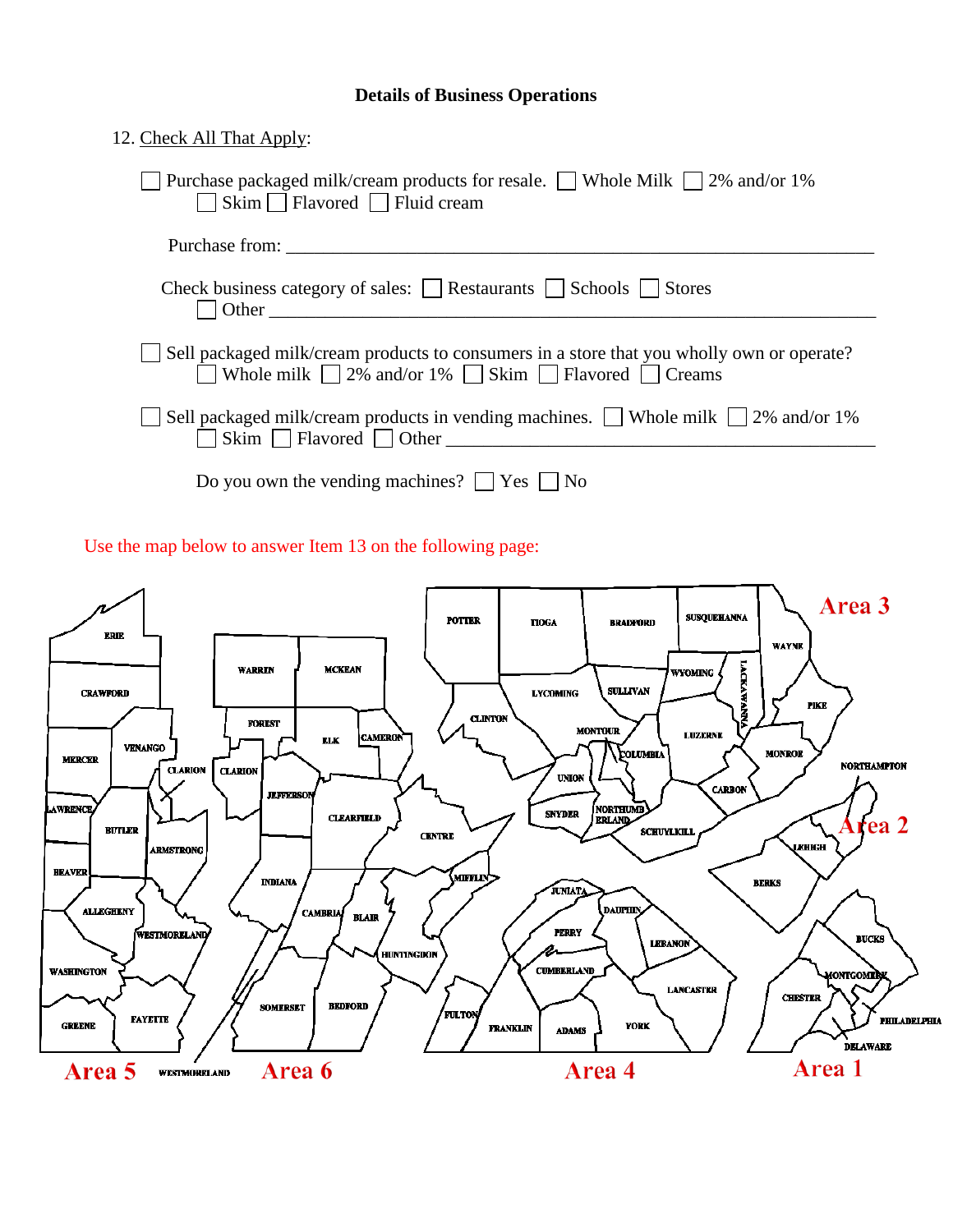## **Details of Business Operations**

| 12. Check All That Apply:                                                                                                                                                    |
|------------------------------------------------------------------------------------------------------------------------------------------------------------------------------|
| Purchase packaged milk/cream products for resale. □ Whole Milk □ 2% and/or 1%<br>Skim Flavored Fluid cream                                                                   |
| Purchase from:                                                                                                                                                               |
| Check business category of sales: $\Box$ Restaurants $\Box$ Schools $\Box$ Stores                                                                                            |
| Sell packaged milk/cream products to consumers in a store that you wholly own or operate?<br>$\Box$ Whole milk $\Box$ 2% and/or 1% $\Box$ Skim $\Box$ Flavored $\Box$ Creams |
| $\Box$ Sell packaged milk/cream products in vending machines. $\Box$ Whole milk $\Box$ 2% and/or 1%                                                                          |
| Do you own the vending machines? $\Box$ Yes $\Box$ No                                                                                                                        |

Use the map below to answer Item 13 on the following page:

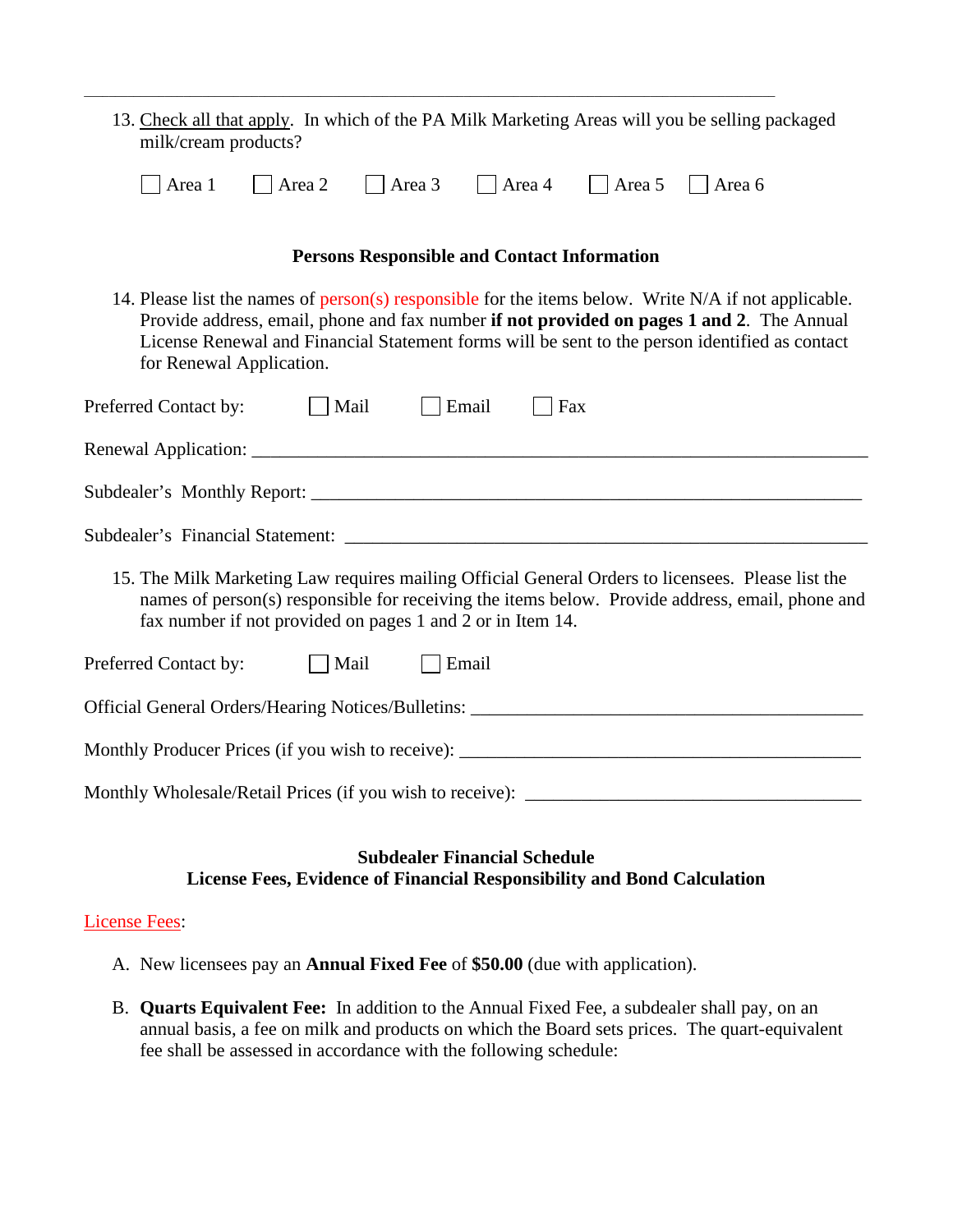| 13. Check all that apply. In which of the PA Milk Marketing Areas will you be selling packaged<br>milk/cream products?                                                                                                                                                                                                          |
|---------------------------------------------------------------------------------------------------------------------------------------------------------------------------------------------------------------------------------------------------------------------------------------------------------------------------------|
| $\Box$ Area 3<br>Area 5<br>Area 1<br>$\vert$ Area 2<br>$\vert$ Area 4<br>$\vert$ Area 6                                                                                                                                                                                                                                         |
| <b>Persons Responsible and Contact Information</b>                                                                                                                                                                                                                                                                              |
| 14. Please list the names of person(s) responsible for the items below. Write N/A if not applicable.<br>Provide address, email, phone and fax number if not provided on pages 1 and 2. The Annual<br>License Renewal and Financial Statement forms will be sent to the person identified as contact<br>for Renewal Application. |
| Preferred Contact by: $\Box$ Mail<br>$\Box$ Email<br>$ $ Fax                                                                                                                                                                                                                                                                    |
|                                                                                                                                                                                                                                                                                                                                 |
|                                                                                                                                                                                                                                                                                                                                 |
|                                                                                                                                                                                                                                                                                                                                 |
| 15. The Milk Marketing Law requires mailing Official General Orders to licensees. Please list the<br>names of person(s) responsible for receiving the items below. Provide address, email, phone and<br>fax number if not provided on pages 1 and 2 or in Item 14.                                                              |
| Preferred Contact by:<br>$\Box$ Email<br>$\Box$ Mail                                                                                                                                                                                                                                                                            |
| Official General Orders/Hearing Notices/Bulletins: _____________________________                                                                                                                                                                                                                                                |
|                                                                                                                                                                                                                                                                                                                                 |
|                                                                                                                                                                                                                                                                                                                                 |
| <b>Subdealer Financial Schedule</b>                                                                                                                                                                                                                                                                                             |

\_\_\_\_\_\_\_\_\_\_\_\_\_\_\_\_\_\_\_\_\_\_\_\_\_\_\_\_\_\_\_\_\_\_\_\_\_\_\_\_\_\_\_\_\_\_\_\_\_\_\_\_\_\_\_\_\_\_\_\_\_\_\_\_\_\_\_\_\_\_\_\_\_\_\_\_\_\_\_\_\_\_\_\_\_\_\_\_\_\_\_\_\_\_\_\_\_\_\_\_\_\_\_\_\_\_\_\_\_\_\_

# **License Fees, Evidence of Financial Responsibility and Bond Calculation**

## License Fees:

- A. New licensees pay an **Annual Fixed Fee** of **\$50.00** (due with application).
- B. **Quarts Equivalent Fee:** In addition to the Annual Fixed Fee, a subdealer shall pay, on an annual basis, a fee on milk and products on which the Board sets prices. The quart-equivalent fee shall be assessed in accordance with the following schedule: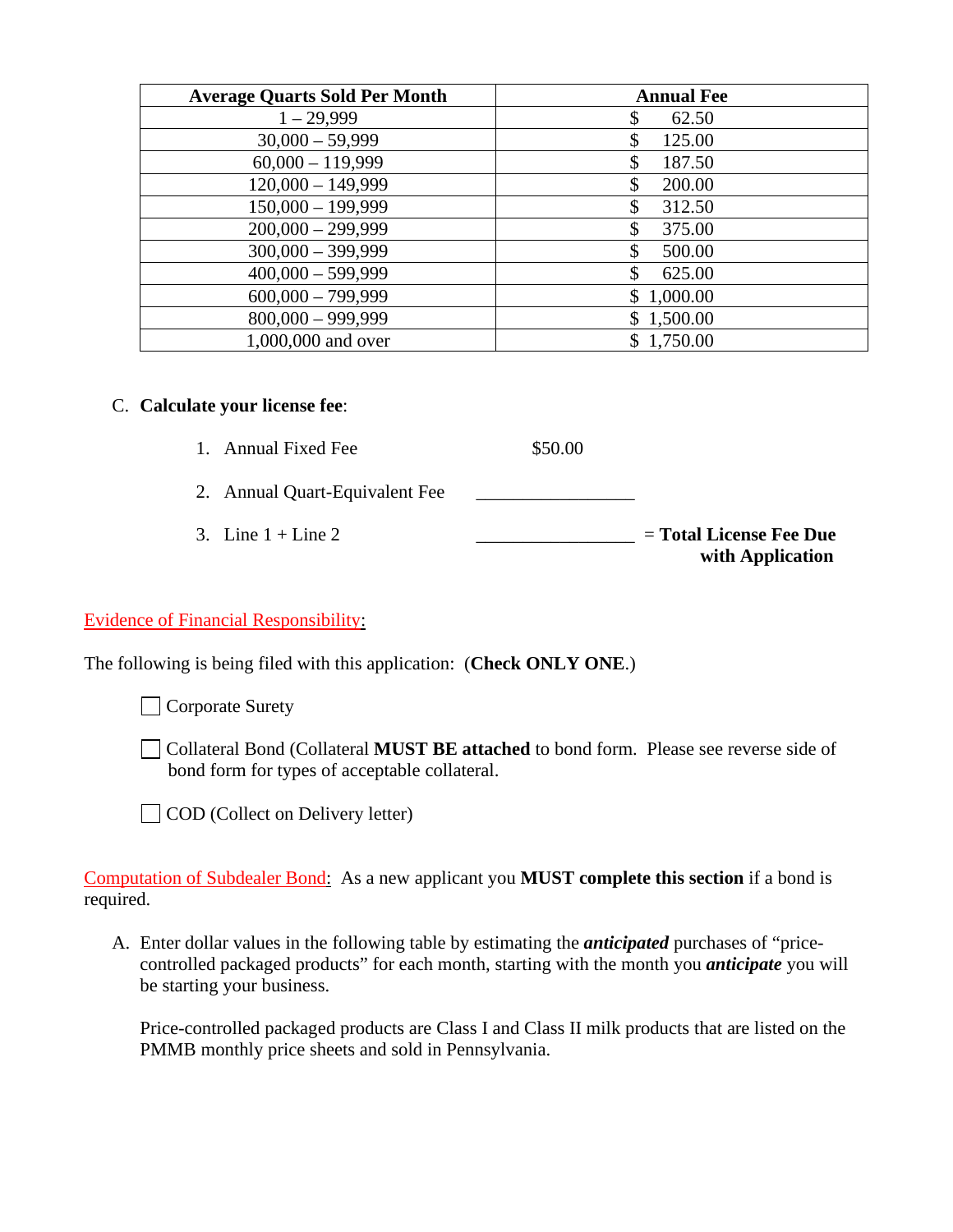| <b>Average Quarts Sold Per Month</b> | <b>Annual Fee</b> |
|--------------------------------------|-------------------|
| $1 - 29,999$                         | 62.50             |
| $30,000 - 59,999$                    | 125.00            |
| $60,000 - 119,999$                   | 187.50            |
| $120,000 - 149,999$                  | 200.00            |
| $150,000 - 199,999$                  | 312.50<br>S       |
| $200,000 - 299,999$                  | 375.00            |
| $300,000 - 399,999$                  | S<br>500.00       |
| $400,000 - 599,999$                  | \$<br>625.00      |
| $600,000 - 799,999$                  | \$1,000.00        |
| $800,000 - 999,999$                  | \$1,500.00        |
| 1,000,000 and over                   | \$1,750.00        |

# C. **Calculate your license fee**:

- 1. Annual Fixed Fee \$50.00
- 2. Annual Quart-Equivalent Fee \_\_\_\_\_\_\_\_\_\_\_\_\_\_\_\_\_
- 3. Line  $1 +$  Line  $2$  \_\_\_\_\_\_\_\_\_\_\_\_\_\_\_\_\_\_\_\_\_ = **Total License Fee Due with Application**

## Evidence of Financial Responsibility:

The following is being filed with this application: (**Check ONLY ONE**.)

Corporate Surety

Collateral Bond (Collateral **MUST BE attached** to bond form. Please see reverse side of bond form for types of acceptable collateral.

COD (Collect on Delivery letter)

Computation of Subdealer Bond: As a new applicant you **MUST complete this section** if a bond is required.

A. Enter dollar values in the following table by estimating the *anticipated* purchases of "pricecontrolled packaged products" for each month, starting with the month you *anticipate* you will be starting your business.

Price-controlled packaged products are Class I and Class II milk products that are listed on the PMMB monthly price sheets and sold in Pennsylvania.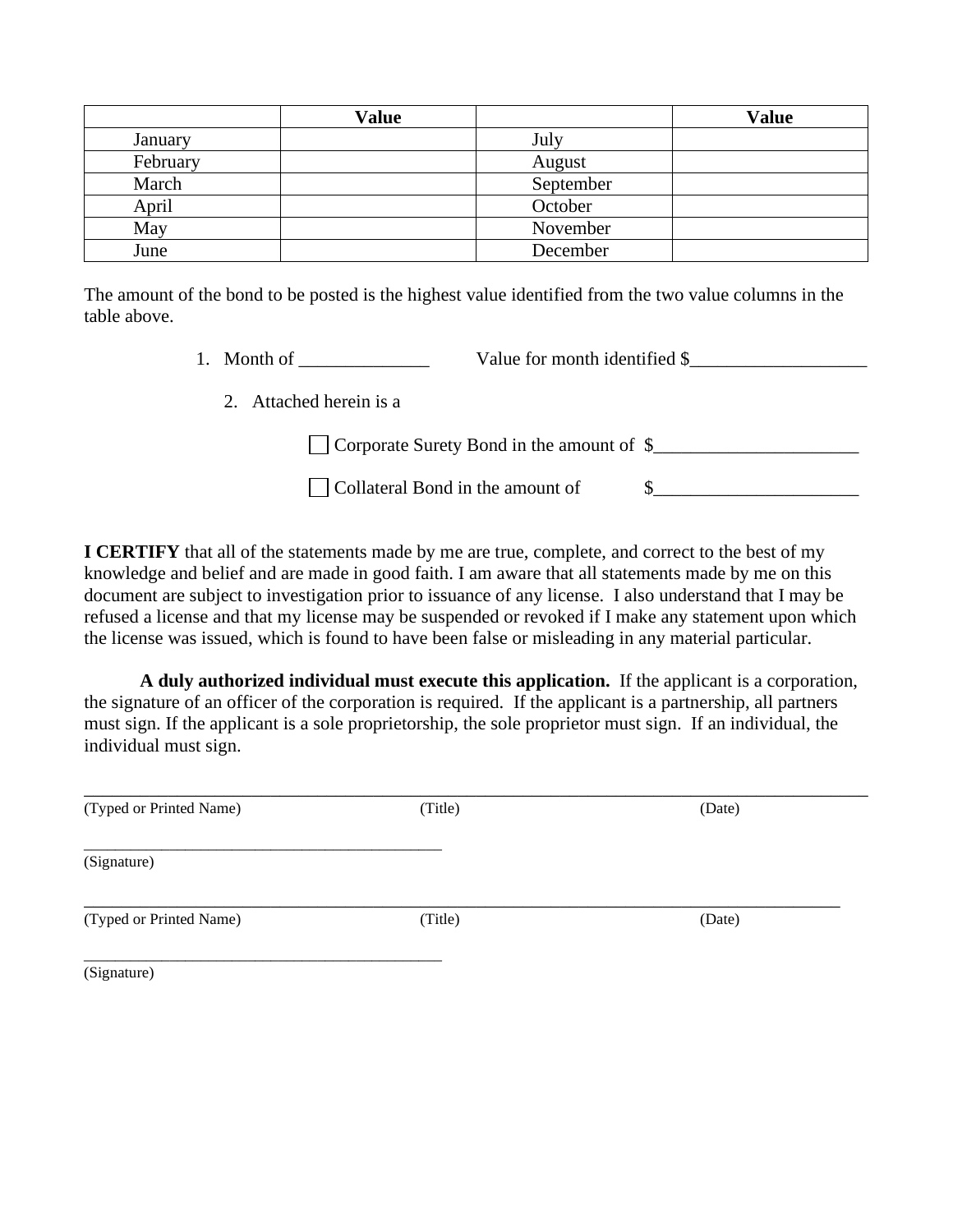|          | Value |           | <b>Value</b> |
|----------|-------|-----------|--------------|
| January  |       | July      |              |
| February |       | August    |              |
| March    |       | September |              |
| April    |       | October   |              |
| May      |       | November  |              |
| June     |       | December  |              |

The amount of the bond to be posted is the highest value identified from the two value columns in the table above.

- 1. Month of \_\_\_\_\_\_\_\_\_\_\_\_\_\_ Value for month identified  $\frac{1}{2}$ 
	- 2. Attached herein is a

Corporate Surety Bond in the amount of \$\_\_\_\_\_\_\_\_\_\_\_\_\_\_\_\_\_\_\_\_\_\_

Collateral Bond in the amount of \$\_\_\_\_\_\_\_\_\_\_\_\_\_\_\_\_\_\_\_\_\_\_

**I CERTIFY** that all of the statements made by me are true, complete, and correct to the best of my knowledge and belief and are made in good faith. I am aware that all statements made by me on this document are subject to investigation prior to issuance of any license. I also understand that I may be refused a license and that my license may be suspended or revoked if I make any statement upon which the license was issued, which is found to have been false or misleading in any material particular.

**A duly authorized individual must execute this application.** If the applicant is a corporation, the signature of an officer of the corporation is required. If the applicant is a partnership, all partners must sign. If the applicant is a sole proprietorship, the sole proprietor must sign. If an individual, the individual must sign.

| (Typed or Printed Name) | (Title) | (Date) |  |
|-------------------------|---------|--------|--|
| (Signature)             |         |        |  |
| (Typed or Printed Name) | (Title) | (Date) |  |
| (Signature)             |         |        |  |